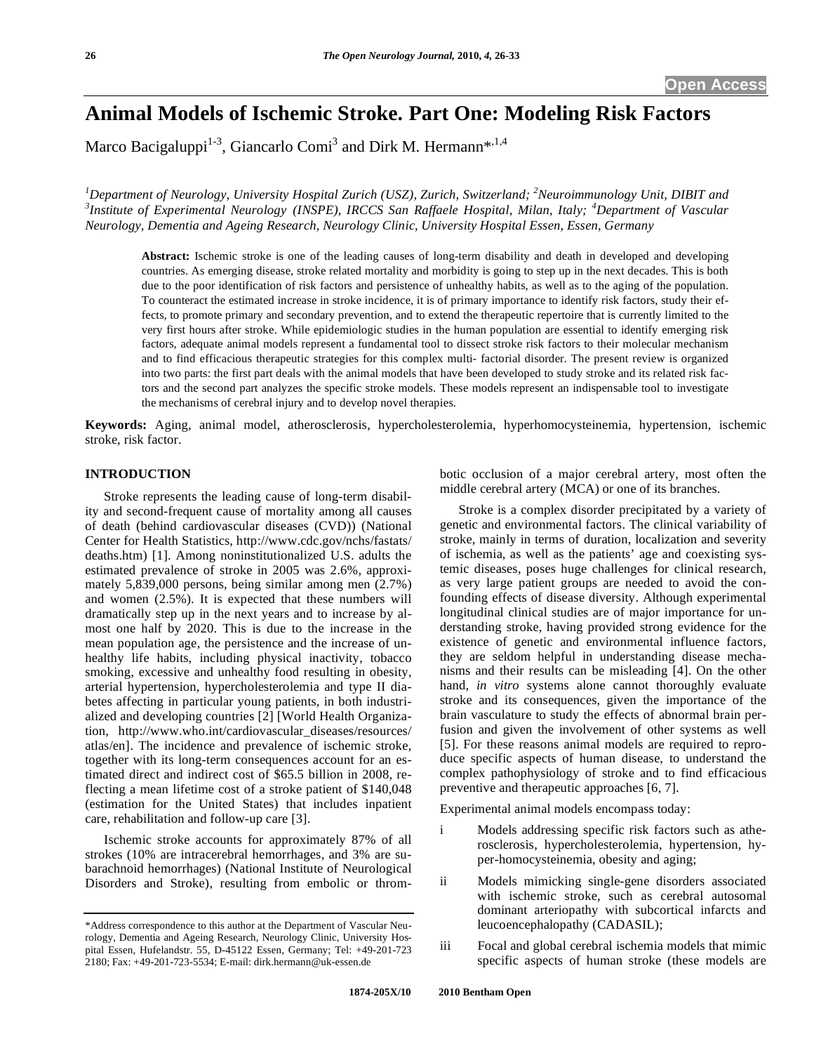# **Animal Models of Ischemic Stroke. Part One: Modeling Risk Factors**

Marco Bacigaluppi<sup>1-3</sup>, Giancarlo Comi<sup>3</sup> and Dirk M. Hermann\*.<sup>1,4</sup>

*1 Department of Neurology, University Hospital Zurich (USZ), Zurich, Switzerland; <sup>2</sup> Neuroimmunology Unit, DIBIT and 3 Institute of Experimental Neurology (INSPE), IRCCS San Raffaele Hospital, Milan, Italy; <sup>4</sup> Department of Vascular Neurology, Dementia and Ageing Research, Neurology Clinic, University Hospital Essen, Essen, Germany*

**Abstract:** Ischemic stroke is one of the leading causes of long-term disability and death in developed and developing countries. As emerging disease, stroke related mortality and morbidity is going to step up in the next decades. This is both due to the poor identification of risk factors and persistence of unhealthy habits, as well as to the aging of the population. To counteract the estimated increase in stroke incidence, it is of primary importance to identify risk factors, study their effects, to promote primary and secondary prevention, and to extend the therapeutic repertoire that is currently limited to the very first hours after stroke. While epidemiologic studies in the human population are essential to identify emerging risk factors, adequate animal models represent a fundamental tool to dissect stroke risk factors to their molecular mechanism and to find efficacious therapeutic strategies for this complex multi- factorial disorder. The present review is organized into two parts: the first part deals with the animal models that have been developed to study stroke and its related risk factors and the second part analyzes the specific stroke models. These models represent an indispensable tool to investigate the mechanisms of cerebral injury and to develop novel therapies.

**Keywords:** Aging, animal model, atherosclerosis, hypercholesterolemia, hyperhomocysteinemia, hypertension, ischemic stroke, risk factor.

# **INTRODUCTION**

 Stroke represents the leading cause of long-term disability and second-frequent cause of mortality among all causes of death (behind cardiovascular diseases (CVD)) (National Center for Health Statistics, http://www.cdc.gov/nchs/fastats/ deaths.htm) [1]. Among noninstitutionalized U.S. adults the estimated prevalence of stroke in 2005 was 2.6%, approximately 5,839,000 persons, being similar among men (2.7%) and women (2.5%). It is expected that these numbers will dramatically step up in the next years and to increase by almost one half by 2020. This is due to the increase in the mean population age, the persistence and the increase of unhealthy life habits, including physical inactivity, tobacco smoking, excessive and unhealthy food resulting in obesity, arterial hypertension, hypercholesterolemia and type II diabetes affecting in particular young patients, in both industrialized and developing countries [2] [World Health Organization, http://www.who.int/cardiovascular\_diseases/resources/ atlas/en]. The incidence and prevalence of ischemic stroke, together with its long-term consequences account for an estimated direct and indirect cost of \$65.5 billion in 2008, reflecting a mean lifetime cost of a stroke patient of \$140,048 (estimation for the United States) that includes inpatient care, rehabilitation and follow-up care [3].

 Ischemic stroke accounts for approximately 87% of all strokes (10% are intracerebral hemorrhages, and 3% are subarachnoid hemorrhages) (National Institute of Neurological Disorders and Stroke), resulting from embolic or thrombotic occlusion of a major cerebral artery, most often the middle cerebral artery (MCA) or one of its branches.

 Stroke is a complex disorder precipitated by a variety of genetic and environmental factors. The clinical variability of stroke, mainly in terms of duration, localization and severity of ischemia, as well as the patients' age and coexisting systemic diseases, poses huge challenges for clinical research, as very large patient groups are needed to avoid the confounding effects of disease diversity. Although experimental longitudinal clinical studies are of major importance for understanding stroke, having provided strong evidence for the existence of genetic and environmental influence factors, they are seldom helpful in understanding disease mechanisms and their results can be misleading [4]. On the other hand, *in vitro* systems alone cannot thoroughly evaluate stroke and its consequences, given the importance of the brain vasculature to study the effects of abnormal brain perfusion and given the involvement of other systems as well [5]. For these reasons animal models are required to reproduce specific aspects of human disease, to understand the complex pathophysiology of stroke and to find efficacious preventive and therapeutic approaches [6, 7].

Experimental animal models encompass today:

- i Models addressing specific risk factors such as atherosclerosis, hypercholesterolemia, hypertension, hyper-homocysteinemia, obesity and aging;
- ii Models mimicking single-gene disorders associated with ischemic stroke, such as cerebral autosomal dominant arteriopathy with subcortical infarcts and leucoencephalopathy (CADASIL);
- iii Focal and global cerebral ischemia models that mimic specific aspects of human stroke (these models are

<sup>\*</sup>Address correspondence to this author at the Department of Vascular Neurology, Dementia and Ageing Research, Neurology Clinic, University Hospital Essen, Hufelandstr. 55, D-45122 Essen, Germany; Tel: +49-201-723 2180; Fax: +49-201-723-5534; E-mail: dirk.hermann@uk-essen.de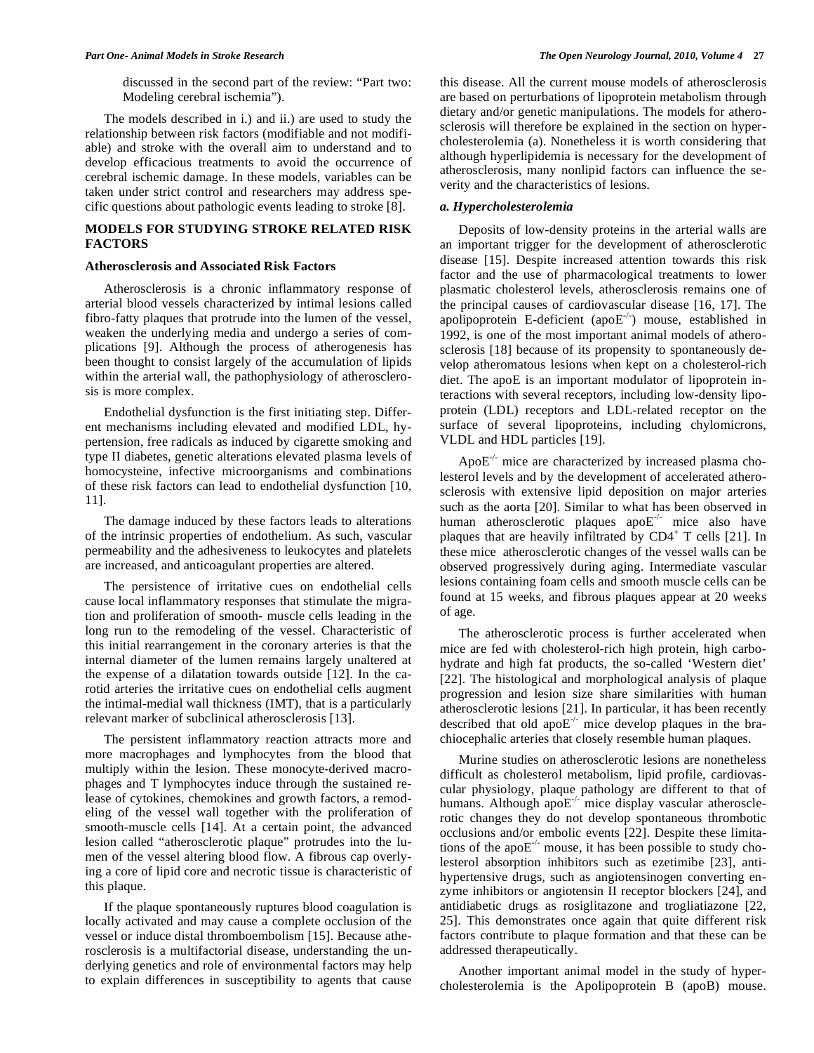discussed in the second part of the review: "Part two: Modeling cerebral ischemia").

 The models described in i.) and ii.) are used to study the relationship between risk factors (modifiable and not modifiable) and stroke with the overall aim to understand and to develop efficacious treatments to avoid the occurrence of cerebral ischemic damage. In these models, variables can be taken under strict control and researchers may address specific questions about pathologic events leading to stroke [8].

# **MODELS FOR STUDYING STROKE RELATED RISK FACTORS**

### **Atherosclerosis and Associated Risk Factors**

 Atherosclerosis is a chronic inflammatory response of arterial blood vessels characterized by intimal lesions called fibro-fatty plaques that protrude into the lumen of the vessel, weaken the underlying media and undergo a series of complications [9]. Although the process of atherogenesis has been thought to consist largely of the accumulation of lipids within the arterial wall, the pathophysiology of atherosclerosis is more complex.

 Endothelial dysfunction is the first initiating step. Different mechanisms including elevated and modified LDL, hypertension, free radicals as induced by cigarette smoking and type II diabetes, genetic alterations elevated plasma levels of homocysteine, infective microorganisms and combinations of these risk factors can lead to endothelial dysfunction [10, 11].

 The damage induced by these factors leads to alterations of the intrinsic properties of endothelium. As such, vascular permeability and the adhesiveness to leukocytes and platelets are increased, and anticoagulant properties are altered.

 The persistence of irritative cues on endothelial cells cause local inflammatory responses that stimulate the migration and proliferation of smooth- muscle cells leading in the long run to the remodeling of the vessel. Characteristic of this initial rearrangement in the coronary arteries is that the internal diameter of the lumen remains largely unaltered at the expense of a dilatation towards outside [12]. In the carotid arteries the irritative cues on endothelial cells augment the intimal-medial wall thickness (IMT), that is a particularly relevant marker of subclinical atherosclerosis [13].

 The persistent inflammatory reaction attracts more and more macrophages and lymphocytes from the blood that multiply within the lesion. These monocyte-derived macrophages and T lymphocytes induce through the sustained release of cytokines, chemokines and growth factors, a remodeling of the vessel wall together with the proliferation of smooth-muscle cells [14]. At a certain point, the advanced lesion called "atherosclerotic plaque" protrudes into the lumen of the vessel altering blood flow. A fibrous cap overlying a core of lipid core and necrotic tissue is characteristic of this plaque.

 If the plaque spontaneously ruptures blood coagulation is locally activated and may cause a complete occlusion of the vessel or induce distal thromboembolism [15]. Because atherosclerosis is a multifactorial disease, understanding the underlying genetics and role of environmental factors may help to explain differences in susceptibility to agents that cause

this disease. All the current mouse models of atherosclerosis are based on perturbations of lipoprotein metabolism through dietary and/or genetic manipulations. The models for atherosclerosis will therefore be explained in the section on hypercholesterolemia (a). Nonetheless it is worth considering that although hyperlipidemia is necessary for the development of atherosclerosis, many nonlipid factors can influence the severity and the characteristics of lesions.

#### *a. Hypercholesterolemia*

 Deposits of low-density proteins in the arterial walls are an important trigger for the development of atherosclerotic disease [15]. Despite increased attention towards this risk factor and the use of pharmacological treatments to lower plasmatic cholesterol levels, atherosclerosis remains one of the principal causes of cardiovascular disease [16, 17]. The apolipoprotein E-deficient (apo $E^{-/-}$ ) mouse, established in 1992, is one of the most important animal models of atherosclerosis [18] because of its propensity to spontaneously develop atheromatous lesions when kept on a cholesterol-rich diet. The apoE is an important modulator of lipoprotein interactions with several receptors, including low-density lipoprotein (LDL) receptors and LDL-related receptor on the surface of several lipoproteins, including chylomicrons, VLDL and HDL particles [19].

Apo $E^{-/-}$  mice are characterized by increased plasma cholesterol levels and by the development of accelerated atherosclerosis with extensive lipid deposition on major arteries such as the aorta [20]. Similar to what has been observed in human atherosclerotic plaques apo $E^{-/-}$  mice also have plaques that are heavily infiltrated by  $CD4^+$  T cells [21]. In these mice atherosclerotic changes of the vessel walls can be observed progressively during aging. Intermediate vascular lesions containing foam cells and smooth muscle cells can be found at 15 weeks, and fibrous plaques appear at 20 weeks of age.

 The atherosclerotic process is further accelerated when mice are fed with cholesterol-rich high protein, high carbohydrate and high fat products, the so-called 'Western diet' [22]. The histological and morphological analysis of plaque progression and lesion size share similarities with human atherosclerotic lesions [21]. In particular, it has been recently described that old apo $E^{-/-}$  mice develop plaques in the brachiocephalic arteries that closely resemble human plaques.

 Murine studies on atherosclerotic lesions are nonetheless difficult as cholesterol metabolism, lipid profile, cardiovascular physiology, plaque pathology are different to that of humans. Although apo $E^{-/-}$  mice display vascular atherosclerotic changes they do not develop spontaneous thrombotic occlusions and/or embolic events [22]. Despite these limitations of the apo $E^{-/-}$  mouse, it has been possible to study cholesterol absorption inhibitors such as ezetimibe [23], antihypertensive drugs, such as angiotensinogen converting enzyme inhibitors or angiotensin II receptor blockers [24], and antidiabetic drugs as rosiglitazone and trogliatiazone [22, 25]. This demonstrates once again that quite different risk factors contribute to plaque formation and that these can be addressed therapeutically.

 Another important animal model in the study of hypercholesterolemia is the Apolipoprotein B (apoB) mouse.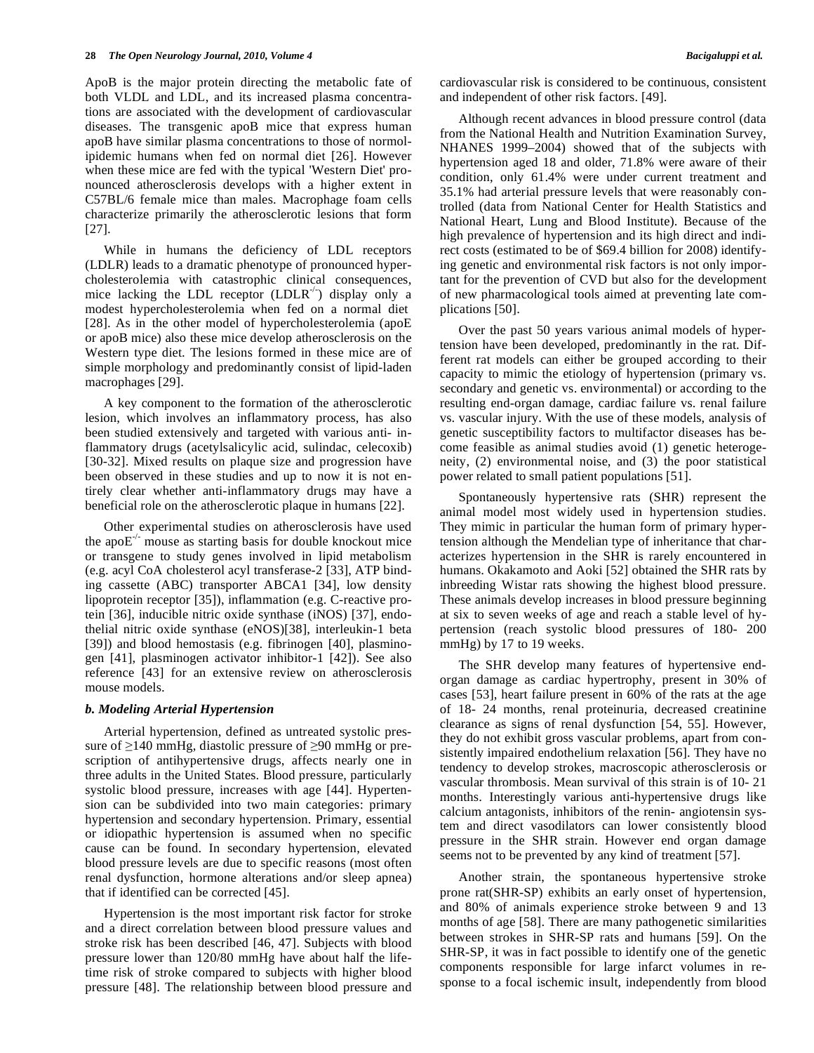ApoB is the major protein directing the metabolic fate of both VLDL and LDL, and its increased plasma concentrations are associated with the development of cardiovascular diseases. The transgenic apoB mice that express human apoB have similar plasma concentrations to those of normolipidemic humans when fed on normal diet [26]. However when these mice are fed with the typical 'Western Diet' pronounced atherosclerosis develops with a higher extent in C57BL/6 female mice than males. Macrophage foam cells characterize primarily the atherosclerotic lesions that form [27].

 While in humans the deficiency of LDL receptors (LDLR) leads to a dramatic phenotype of pronounced hypercholesterolemia with catastrophic clinical consequences, mice lacking the LDL receptor  $(LDLR^{-1})$  display only a modest hypercholesterolemia when fed on a normal diet [28]. As in the other model of hypercholesterolemia (apoE or apoB mice) also these mice develop atherosclerosis on the Western type diet. The lesions formed in these mice are of simple morphology and predominantly consist of lipid-laden macrophages [29].

 A key component to the formation of the atherosclerotic lesion, which involves an inflammatory process, has also been studied extensively and targeted with various anti- inflammatory drugs (acetylsalicylic acid, sulindac, celecoxib) [30-32]. Mixed results on plaque size and progression have been observed in these studies and up to now it is not entirely clear whether anti-inflammatory drugs may have a beneficial role on the atherosclerotic plaque in humans [22].

 Other experimental studies on atherosclerosis have used the apo $E^{-/-}$  mouse as starting basis for double knockout mice or transgene to study genes involved in lipid metabolism (e.g. acyl CoA cholesterol acyl transferase-2 [33], ATP binding cassette (ABC) transporter ABCA1 [34], low density lipoprotein receptor [35]), inflammation (e.g. C-reactive protein [36], inducible nitric oxide synthase (iNOS) [37], endothelial nitric oxide synthase (eNOS)[38], interleukin-1 beta [39]) and blood hemostasis (e.g. fibrinogen [40], plasminogen [41], plasminogen activator inhibitor-1 [42]). See also reference [43] for an extensive review on atherosclerosis mouse models.

### *b. Modeling Arterial Hypertension*

 Arterial hypertension, defined as untreated systolic pressure of  $\geq$ 140 mmHg, diastolic pressure of  $\geq$ 90 mmHg or prescription of antihypertensive drugs, affects nearly one in three adults in the United States. Blood pressure, particularly systolic blood pressure, increases with age [44]. Hypertension can be subdivided into two main categories: primary hypertension and secondary hypertension. Primary, essential or idiopathic hypertension is assumed when no specific cause can be found. In secondary hypertension, elevated blood pressure levels are due to specific reasons (most often renal dysfunction, hormone alterations and/or sleep apnea) that if identified can be corrected [45].

 Hypertension is the most important risk factor for stroke and a direct correlation between blood pressure values and stroke risk has been described [46, 47]. Subjects with blood pressure lower than 120/80 mmHg have about half the lifetime risk of stroke compared to subjects with higher blood pressure [48]. The relationship between blood pressure and cardiovascular risk is considered to be continuous, consistent and independent of other risk factors. [49].

 Although recent advances in blood pressure control (data from the National Health and Nutrition Examination Survey, NHANES 1999–2004) showed that of the subjects with hypertension aged 18 and older, 71.8% were aware of their condition, only 61.4% were under current treatment and 35.1% had arterial pressure levels that were reasonably controlled (data from National Center for Health Statistics and National Heart, Lung and Blood Institute). Because of the high prevalence of hypertension and its high direct and indirect costs (estimated to be of \$69.4 billion for 2008) identifying genetic and environmental risk factors is not only important for the prevention of CVD but also for the development of new pharmacological tools aimed at preventing late complications [50].

 Over the past 50 years various animal models of hypertension have been developed, predominantly in the rat. Different rat models can either be grouped according to their capacity to mimic the etiology of hypertension (primary vs. secondary and genetic vs. environmental) or according to the resulting end-organ damage, cardiac failure vs. renal failure vs. vascular injury. With the use of these models, analysis of genetic susceptibility factors to multifactor diseases has become feasible as animal studies avoid (1) genetic heterogeneity, (2) environmental noise, and (3) the poor statistical power related to small patient populations [51].

 Spontaneously hypertensive rats (SHR) represent the animal model most widely used in hypertension studies. They mimic in particular the human form of primary hypertension although the Mendelian type of inheritance that characterizes hypertension in the SHR is rarely encountered in humans. Okakamoto and Aoki [52] obtained the SHR rats by inbreeding Wistar rats showing the highest blood pressure. These animals develop increases in blood pressure beginning at six to seven weeks of age and reach a stable level of hypertension (reach systolic blood pressures of 180- 200 mmHg) by 17 to 19 weeks.

 The SHR develop many features of hypertensive endorgan damage as cardiac hypertrophy, present in 30% of cases [53], heart failure present in 60% of the rats at the age of 18- 24 months, renal proteinuria, decreased creatinine clearance as signs of renal dysfunction [54, 55]. However, they do not exhibit gross vascular problems, apart from consistently impaired endothelium relaxation [56]. They have no tendency to develop strokes, macroscopic atherosclerosis or vascular thrombosis. Mean survival of this strain is of 10- 21 months. Interestingly various anti-hypertensive drugs like calcium antagonists, inhibitors of the renin- angiotensin system and direct vasodilators can lower consistently blood pressure in the SHR strain. However end organ damage seems not to be prevented by any kind of treatment [57].

 Another strain, the spontaneous hypertensive stroke prone rat(SHR-SP) exhibits an early onset of hypertension, and 80% of animals experience stroke between 9 and 13 months of age [58]. There are many pathogenetic similarities between strokes in SHR-SP rats and humans [59]. On the SHR-SP, it was in fact possible to identify one of the genetic components responsible for large infarct volumes in response to a focal ischemic insult, independently from blood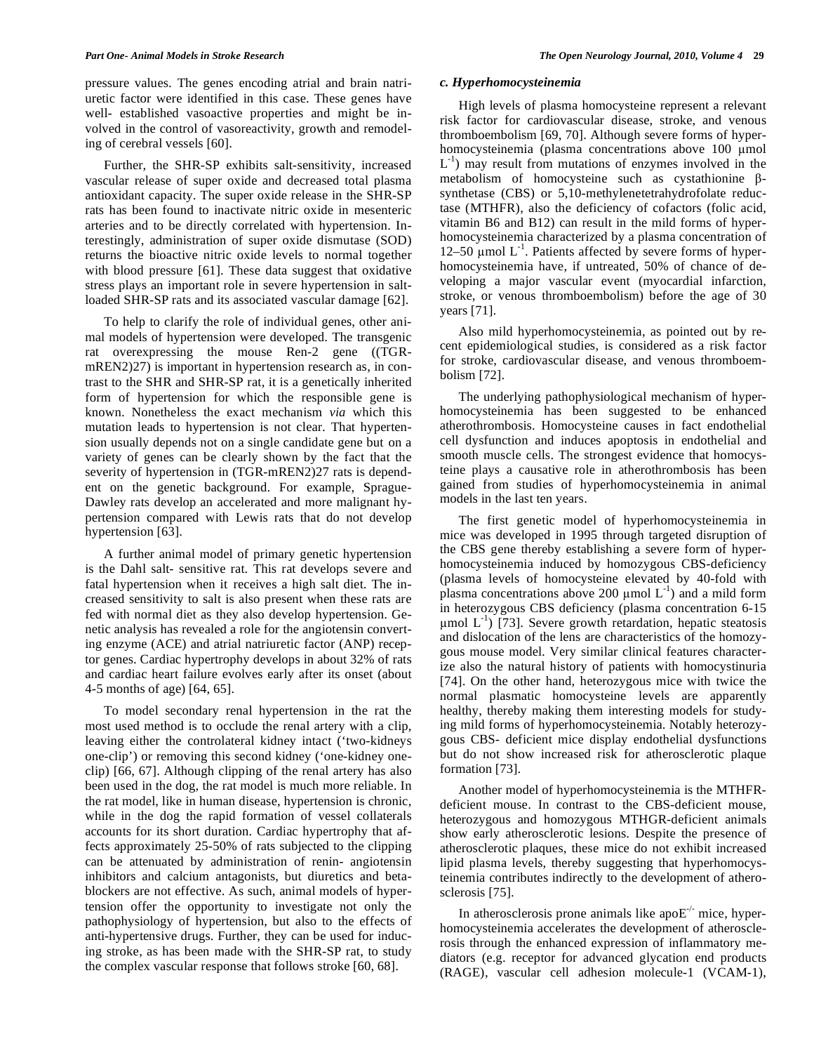pressure values. The genes encoding atrial and brain natriuretic factor were identified in this case. These genes have well- established vasoactive properties and might be involved in the control of vasoreactivity, growth and remodeling of cerebral vessels [60].

 Further, the SHR-SP exhibits salt-sensitivity, increased vascular release of super oxide and decreased total plasma antioxidant capacity. The super oxide release in the SHR-SP rats has been found to inactivate nitric oxide in mesenteric arteries and to be directly correlated with hypertension. Interestingly, administration of super oxide dismutase (SOD) returns the bioactive nitric oxide levels to normal together with blood pressure [61]. These data suggest that oxidative stress plays an important role in severe hypertension in saltloaded SHR-SP rats and its associated vascular damage [62].

 To help to clarify the role of individual genes, other animal models of hypertension were developed. The transgenic rat overexpressing the mouse Ren-2 gene ((TGRmREN2)27) is important in hypertension research as, in contrast to the SHR and SHR-SP rat, it is a genetically inherited form of hypertension for which the responsible gene is known. Nonetheless the exact mechanism *via* which this mutation leads to hypertension is not clear. That hypertension usually depends not on a single candidate gene but on a variety of genes can be clearly shown by the fact that the severity of hypertension in (TGR-mREN2)27 rats is dependent on the genetic background. For example, Sprague-Dawley rats develop an accelerated and more malignant hypertension compared with Lewis rats that do not develop hypertension [63].

 A further animal model of primary genetic hypertension is the Dahl salt- sensitive rat. This rat develops severe and fatal hypertension when it receives a high salt diet. The increased sensitivity to salt is also present when these rats are fed with normal diet as they also develop hypertension. Genetic analysis has revealed a role for the angiotensin converting enzyme (ACE) and atrial natriuretic factor (ANP) receptor genes. Cardiac hypertrophy develops in about 32% of rats and cardiac heart failure evolves early after its onset (about 4-5 months of age) [64, 65].

 To model secondary renal hypertension in the rat the most used method is to occlude the renal artery with a clip, leaving either the controlateral kidney intact ('two-kidneys one-clip') or removing this second kidney ('one-kidney oneclip) [66, 67]. Although clipping of the renal artery has also been used in the dog, the rat model is much more reliable. In the rat model, like in human disease, hypertension is chronic, while in the dog the rapid formation of vessel collaterals accounts for its short duration. Cardiac hypertrophy that affects approximately 25-50% of rats subjected to the clipping can be attenuated by administration of renin- angiotensin inhibitors and calcium antagonists, but diuretics and betablockers are not effective. As such, animal models of hypertension offer the opportunity to investigate not only the pathophysiology of hypertension, but also to the effects of anti-hypertensive drugs. Further, they can be used for inducing stroke, as has been made with the SHR-SP rat, to study the complex vascular response that follows stroke [60, 68].

#### *c. Hyperhomocysteinemia*

 High levels of plasma homocysteine represent a relevant risk factor for cardiovascular disease, stroke, and venous thromboembolism [69, 70]. Although severe forms of hyperhomocysteinemia (plasma concentrations above 100 µmol  $L^{-1}$ ) may result from mutations of enzymes involved in the metabolism of homocysteine such as cystathionine  $\beta$ synthetase (CBS) or 5,10-methylenetetrahydrofolate reductase (MTHFR), also the deficiency of cofactors (folic acid, vitamin B6 and B12) can result in the mild forms of hyperhomocysteinemia characterized by a plasma concentration of 12–50  $\mu$ mol L<sup>-1</sup>. Patients affected by severe forms of hyperhomocysteinemia have, if untreated, 50% of chance of developing a major vascular event (myocardial infarction, stroke, or venous thromboembolism) before the age of 30 years [71].

 Also mild hyperhomocysteinemia, as pointed out by recent epidemiological studies, is considered as a risk factor for stroke, cardiovascular disease, and venous thromboembolism [72].

 The underlying pathophysiological mechanism of hyperhomocysteinemia has been suggested to be enhanced atherothrombosis. Homocysteine causes in fact endothelial cell dysfunction and induces apoptosis in endothelial and smooth muscle cells. The strongest evidence that homocysteine plays a causative role in atherothrombosis has been gained from studies of hyperhomocysteinemia in animal models in the last ten years.

 The first genetic model of hyperhomocysteinemia in mice was developed in 1995 through targeted disruption of the CBS gene thereby establishing a severe form of hyperhomocysteinemia induced by homozygous CBS-deficiency (plasma levels of homocysteine elevated by 40-fold with plasma concentrations above 200  $\mu$ mol L<sup>-1</sup>) and a mild form in heterozygous CBS deficiency (plasma concentration 6-15  $\mu$ mol L<sup>-1</sup>) [73]. Severe growth retardation, hepatic steatosis and dislocation of the lens are characteristics of the homozygous mouse model. Very similar clinical features characterize also the natural history of patients with homocystinuria [74]. On the other hand, heterozygous mice with twice the normal plasmatic homocysteine levels are apparently healthy, thereby making them interesting models for studying mild forms of hyperhomocysteinemia. Notably heterozygous CBS- deficient mice display endothelial dysfunctions but do not show increased risk for atherosclerotic plaque formation [73].

 Another model of hyperhomocysteinemia is the MTHFRdeficient mouse. In contrast to the CBS-deficient mouse, heterozygous and homozygous MTHGR-deficient animals show early atherosclerotic lesions. Despite the presence of atherosclerotic plaques, these mice do not exhibit increased lipid plasma levels, thereby suggesting that hyperhomocysteinemia contributes indirectly to the development of atherosclerosis [75].

In atherosclerosis prone animals like apo $E^{-/-}$  mice, hyperhomocysteinemia accelerates the development of atherosclerosis through the enhanced expression of inflammatory mediators (e.g. receptor for advanced glycation end products (RAGE), vascular cell adhesion molecule-1 (VCAM-1),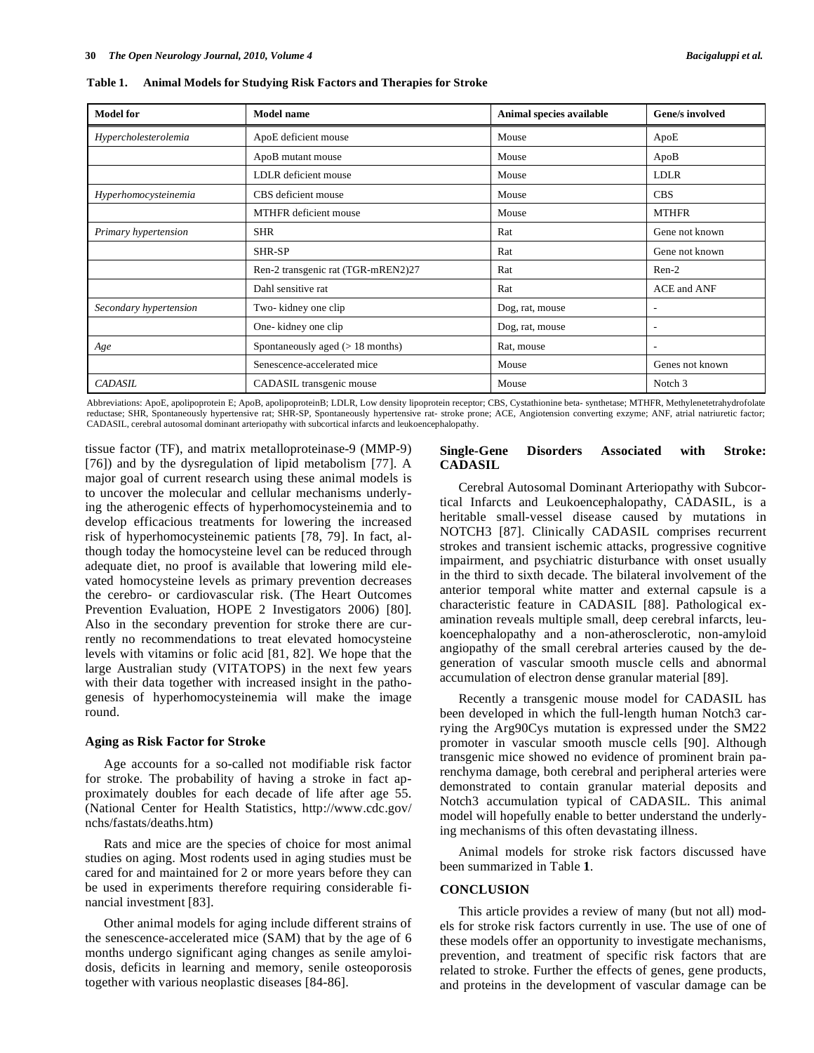| <b>Model for</b>       | <b>Model name</b>                  | Animal species available | Gene/s involved          |
|------------------------|------------------------------------|--------------------------|--------------------------|
| Hypercholesterolemia   | ApoE deficient mouse               | Mouse                    | ApoE                     |
|                        | ApoB mutant mouse                  | Mouse                    | ApoB                     |
|                        | LDLR deficient mouse               | Mouse                    | LDLR                     |
| Hyperhomocysteinemia   | CBS deficient mouse                | Mouse                    | <b>CBS</b>               |
|                        | MTHFR deficient mouse              | Mouse                    | <b>MTHFR</b>             |
| Primary hypertension   | <b>SHR</b>                         | Rat                      | Gene not known           |
|                        | SHR-SP                             | Rat                      | Gene not known           |
|                        | Ren-2 transgenic rat (TGR-mREN2)27 | Rat                      | $Ren-2$                  |
|                        | Dahl sensitive rat                 | Rat                      | ACE and ANF              |
| Secondary hypertension | Two-kidney one clip                | Dog, rat, mouse          | $\overline{\phantom{a}}$ |
|                        | One-kidney one clip                | Dog, rat, mouse          | $\overline{\phantom{a}}$ |
| Age                    | Spontaneously aged $(> 18$ months) | Rat, mouse               | ٠                        |
|                        | Senescence-accelerated mice        | Mouse                    | Genes not known          |
| <b>CADASIL</b>         | CADASIL transgenic mouse           | Mouse                    | Notch 3                  |

**Table 1. Animal Models for Studying Risk Factors and Therapies for Stroke** 

Abbreviations: ApoE, apolipoprotein E; ApoB, apolipoproteinB; LDLR, Low density lipoprotein receptor; CBS, Cystathionine beta- synthetase; MTHFR, Methylenetetrahydrofolate reductase; SHR, Spontaneously hypertensive rat; SHR-SP, Spontaneously hypertensive rat- stroke prone; ACE, Angiotension converting exzyme; ANF, atrial natriuretic factor; CADASIL, cerebral autosomal dominant arteriopathy with subcortical infarcts and leukoencephalopathy.

tissue factor (TF), and matrix metalloproteinase-9 (MMP-9) [76]) and by the dysregulation of lipid metabolism [77]. A major goal of current research using these animal models is to uncover the molecular and cellular mechanisms underlying the atherogenic effects of hyperhomocysteinemia and to develop efficacious treatments for lowering the increased risk of hyperhomocysteinemic patients [78, 79]. In fact, although today the homocysteine level can be reduced through adequate diet, no proof is available that lowering mild elevated homocysteine levels as primary prevention decreases the cerebro- or cardiovascular risk. (The Heart Outcomes Prevention Evaluation, HOPE 2 Investigators 2006) [80]. Also in the secondary prevention for stroke there are currently no recommendations to treat elevated homocysteine levels with vitamins or folic acid [81, 82]. We hope that the large Australian study (VITATOPS) in the next few years with their data together with increased insight in the pathogenesis of hyperhomocysteinemia will make the image round.

### **Aging as Risk Factor for Stroke**

 Age accounts for a so-called not modifiable risk factor for stroke. The probability of having a stroke in fact approximately doubles for each decade of life after age 55. (National Center for Health Statistics, http://www.cdc.gov/ nchs/fastats/deaths.htm)

 Rats and mice are the species of choice for most animal studies on aging. Most rodents used in aging studies must be cared for and maintained for 2 or more years before they can be used in experiments therefore requiring considerable financial investment [83].

 Other animal models for aging include different strains of the senescence-accelerated mice (SAM) that by the age of 6 months undergo significant aging changes as senile amyloidosis, deficits in learning and memory, senile osteoporosis together with various neoplastic diseases [84-86].

## **Single-Gene Disorders Associated with Stroke: CADASIL**

 Cerebral Autosomal Dominant Arteriopathy with Subcortical Infarcts and Leukoencephalopathy, CADASIL, is a heritable small-vessel disease caused by mutations in NOTCH3 [87]. Clinically CADASIL comprises recurrent strokes and transient ischemic attacks, progressive cognitive impairment, and psychiatric disturbance with onset usually in the third to sixth decade. The bilateral involvement of the anterior temporal white matter and external capsule is a characteristic feature in CADASIL [88]. Pathological examination reveals multiple small, deep cerebral infarcts, leukoencephalopathy and a non-atherosclerotic, non-amyloid angiopathy of the small cerebral arteries caused by the degeneration of vascular smooth muscle cells and abnormal accumulation of electron dense granular material [89].

 Recently a transgenic mouse model for CADASIL has been developed in which the full-length human Notch3 carrying the Arg90Cys mutation is expressed under the SM22 promoter in vascular smooth muscle cells [90]. Although transgenic mice showed no evidence of prominent brain parenchyma damage, both cerebral and peripheral arteries were demonstrated to contain granular material deposits and Notch3 accumulation typical of CADASIL. This animal model will hopefully enable to better understand the underlying mechanisms of this often devastating illness.

 Animal models for stroke risk factors discussed have been summarized in Table **1**.

### **CONCLUSION**

 This article provides a review of many (but not all) models for stroke risk factors currently in use. The use of one of these models offer an opportunity to investigate mechanisms, prevention, and treatment of specific risk factors that are related to stroke. Further the effects of genes, gene products, and proteins in the development of vascular damage can be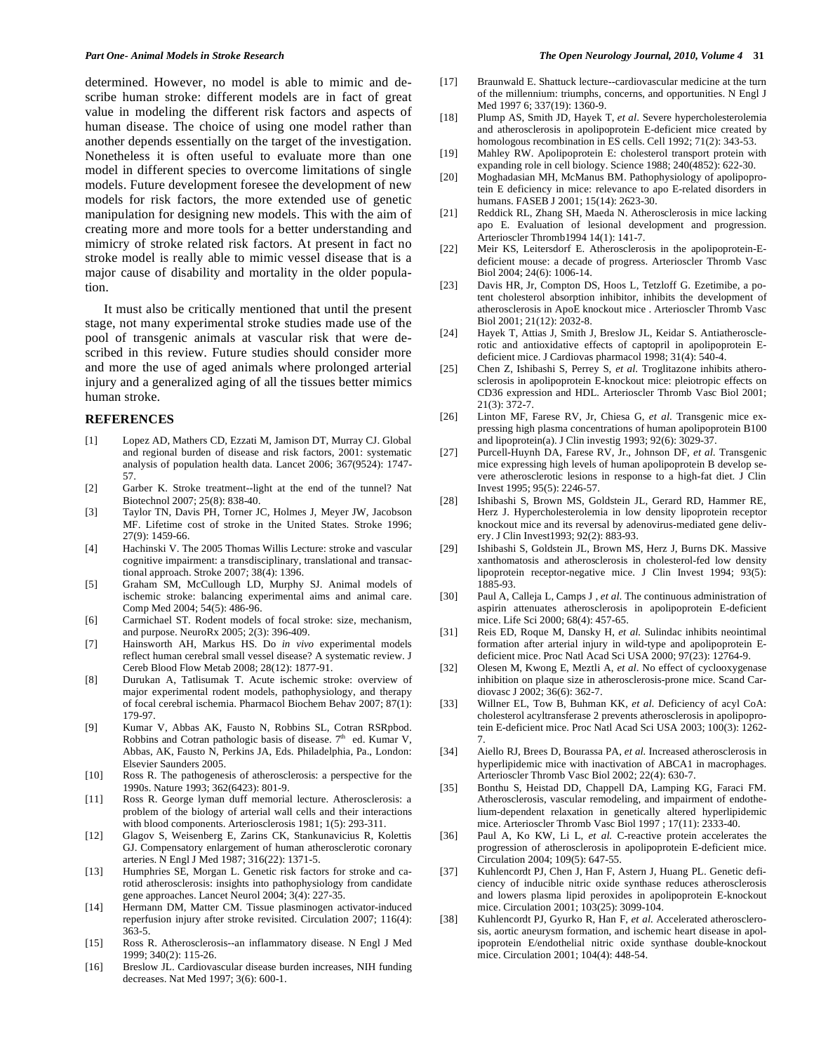determined. However, no model is able to mimic and describe human stroke: different models are in fact of great value in modeling the different risk factors and aspects of human disease. The choice of using one model rather than another depends essentially on the target of the investigation. Nonetheless it is often useful to evaluate more than one model in different species to overcome limitations of single models. Future development foresee the development of new models for risk factors, the more extended use of genetic manipulation for designing new models. This with the aim of creating more and more tools for a better understanding and mimicry of stroke related risk factors. At present in fact no stroke model is really able to mimic vessel disease that is a major cause of disability and mortality in the older population.

 It must also be critically mentioned that until the present stage, not many experimental stroke studies made use of the pool of transgenic animals at vascular risk that were described in this review. Future studies should consider more and more the use of aged animals where prolonged arterial injury and a generalized aging of all the tissues better mimics human stroke.

#### **REFERENCES**

- [1] Lopez AD, Mathers CD, Ezzati M, Jamison DT, Murray CJ. Global and regional burden of disease and risk factors, 2001: systematic analysis of population health data. Lancet 2006; 367(9524): 1747- 57.
- [2] Garber K. Stroke treatment--light at the end of the tunnel? Nat Biotechnol 2007; 25(8): 838-40.
- [3] Taylor TN, Davis PH, Torner JC, Holmes J, Meyer JW, Jacobson MF. Lifetime cost of stroke in the United States. Stroke 1996; 27(9): 1459-66.
- [4] Hachinski V. The 2005 Thomas Willis Lecture: stroke and vascular cognitive impairment: a transdisciplinary, translational and transactional approach. Stroke 2007; 38(4): 1396.
- [5] Graham SM, McCullough LD, Murphy SJ. Animal models of ischemic stroke: balancing experimental aims and animal care. Comp Med 2004; 54(5): 486-96.
- [6] Carmichael ST. Rodent models of focal stroke: size, mechanism, and purpose. NeuroRx 2005; 2(3): 396-409.
- [7] Hainsworth AH, Markus HS. Do *in vivo* experimental models reflect human cerebral small vessel disease? A systematic review. J Cereb Blood Flow Metab 2008; 28(12): 1877-91.
- [8] Durukan A, Tatlisumak T. Acute ischemic stroke: overview of major experimental rodent models, pathophysiology, and therapy of focal cerebral ischemia. Pharmacol Biochem Behav 2007; 87(1): 179-97.
- [9] Kumar V, Abbas AK, Fausto N, Robbins SL, Cotran RSRpbod. Robbins and Cotran pathologic basis of disease.  $7<sup>th</sup>$  ed. Kumar V, Abbas, AK, Fausto N, Perkins JA, Eds. Philadelphia, Pa., London: Elsevier Saunders 2005.
- [10] Ross R. The pathogenesis of atherosclerosis: a perspective for the 1990s. Nature 1993; 362(6423): 801-9.
- [11] Ross R. George lyman duff memorial lecture. Atherosclerosis: a problem of the biology of arterial wall cells and their interactions with blood components. Arteriosclerosis 1981; 1(5): 293-311.
- [12] Glagov S, Weisenberg E, Zarins CK, Stankunavicius R, Kolettis GJ. Compensatory enlargement of human atherosclerotic coronary arteries. N Engl J Med 1987; 316(22): 1371-5.
- [13] Humphries SE, Morgan L. Genetic risk factors for stroke and carotid atherosclerosis: insights into pathophysiology from candidate gene approaches. Lancet Neurol 2004; 3(4): 227-35.
- [14] Hermann DM, Matter CM. Tissue plasminogen activator-induced reperfusion injury after stroke revisited. Circulation 2007; 116(4): 363-5.
- [15] Ross R. Atherosclerosis--an inflammatory disease. N Engl J Med 1999; 340(2): 115-26.
- [16] Breslow JL. Cardiovascular disease burden increases, NIH funding decreases. Nat Med 1997; 3(6): 600-1.
- [17] Braunwald E. Shattuck lecture--cardiovascular medicine at the turn of the millennium: triumphs, concerns, and opportunities. N Engl J Med 1997 6; 337(19): 1360-9.
- [18] Plump AS, Smith JD, Hayek T, *et al*. Severe hypercholesterolemia and atherosclerosis in apolipoprotein E-deficient mice created by homologous recombination in ES cells. Cell 1992; 71(2): 343-53.
- [19] Mahley RW. Apolipoprotein E: cholesterol transport protein with expanding role in cell biology. Science 1988; 240(4852): 622-30.
- [20] Moghadasian MH, McManus BM. Pathophysiology of apolipoprotein E deficiency in mice: relevance to apo E-related disorders in humans. FASEB J 2001; 15(14): 2623-30.
- [21] Reddick RL, Zhang SH, Maeda N. Atherosclerosis in mice lacking apo E. Evaluation of lesional development and progression. Arterioscler Thromb1994 14(1): 141-7.
- [22] Meir KS, Leitersdorf E. Atherosclerosis in the apolipoprotein-Edeficient mouse: a decade of progress. Arterioscler Thromb Vasc Biol 2004; 24(6): 1006-14.
- [23] Davis HR, Jr, Compton DS, Hoos L, Tetzloff G. Ezetimibe, a potent cholesterol absorption inhibitor, inhibits the development of atherosclerosis in ApoE knockout mice . Arterioscler Thromb Vasc Biol 2001; 21(12): 2032-8.
- [24] Hayek T, Attias J, Smith J, Breslow JL, Keidar S. Antiatherosclerotic and antioxidative effects of captopril in apolipoprotein Edeficient mice. J Cardiovas pharmacol 1998; 31(4): 540-4.
- [25] Chen Z, Ishibashi S, Perrey S, *et al*. Troglitazone inhibits atherosclerosis in apolipoprotein E-knockout mice: pleiotropic effects on CD36 expression and HDL. Arterioscler Thromb Vasc Biol 2001; 21(3): 372-7.
- [26] Linton MF, Farese RV, Jr, Chiesa G, *et al*. Transgenic mice expressing high plasma concentrations of human apolipoprotein B100 and lipoprotein(a). J Clin investig 1993; 92(6): 3029-37.
- [27] Purcell-Huynh DA, Farese RV, Jr., Johnson DF, *et al*. Transgenic mice expressing high levels of human apolipoprotein B develop severe atherosclerotic lesions in response to a high-fat diet. J Clin Invest 1995; 95(5): 2246-57.
- [28] Ishibashi S, Brown MS, Goldstein JL, Gerard RD, Hammer RE, Herz J. Hypercholesterolemia in low density lipoprotein receptor knockout mice and its reversal by adenovirus-mediated gene delivery. J Clin Invest1993; 92(2): 883-93.
- [29] Ishibashi S, Goldstein JL, Brown MS, Herz J, Burns DK. Massive xanthomatosis and atherosclerosis in cholesterol-fed low density lipoprotein receptor-negative mice. J Clin Invest 1994; 93(5): 1885-93.
- [30] Paul A, Calleja L, Camps J , *et al*. The continuous administration of aspirin attenuates atherosclerosis in apolipoprotein E-deficient mice. Life Sci 2000; 68(4): 457-65.
- [31] Reis ED, Roque M, Dansky H, *et al.* Sulindac inhibits neointimal formation after arterial injury in wild-type and apolipoprotein Edeficient mice. Proc Natl Acad Sci USA 2000; 97(23): 12764-9.
- [32] Olesen M, Kwong E, Meztli A, *et al*. No effect of cyclooxygenase inhibition on plaque size in atherosclerosis-prone mice. Scand Cardiovasc J 2002; 36(6): 362-7.
- [33] Willner EL, Tow B, Buhman KK, *et al*. Deficiency of acyl CoA: cholesterol acyltransferase 2 prevents atherosclerosis in apolipoprotein E-deficient mice. Proc Natl Acad Sci USA 2003; 100(3): 1262- 7.
- [34] Aiello RJ, Brees D, Bourassa PA, *et al.* Increased atherosclerosis in hyperlipidemic mice with inactivation of ABCA1 in macrophages. Arterioscler Thromb Vasc Biol 2002; 22(4): 630-7.
- [35] Bonthu S, Heistad DD, Chappell DA, Lamping KG, Faraci FM. Atherosclerosis, vascular remodeling, and impairment of endothelium-dependent relaxation in genetically altered hyperlipidemic mice. Arterioscler Thromb Vasc Biol 1997 ; 17(11): 2333-40.
- [36] Paul A, Ko KW, Li L, et al. C-reactive protein accelerates the progression of atherosclerosis in apolipoprotein E-deficient mice. Circulation 2004; 109(5): 647-55.
- [37] Kuhlencordt PJ, Chen J, Han F, Astern J, Huang PL. Genetic deficiency of inducible nitric oxide synthase reduces atherosclerosis and lowers plasma lipid peroxides in apolipoprotein E-knockout mice. Circulation 2001; 103(25): 3099-104.
- [38] Kuhlencordt PJ, Gyurko R, Han F, *et al.* Accelerated atherosclerosis, aortic aneurysm formation, and ischemic heart disease in apolipoprotein E/endothelial nitric oxide synthase double-knockout mice. Circulation 2001; 104(4): 448-54.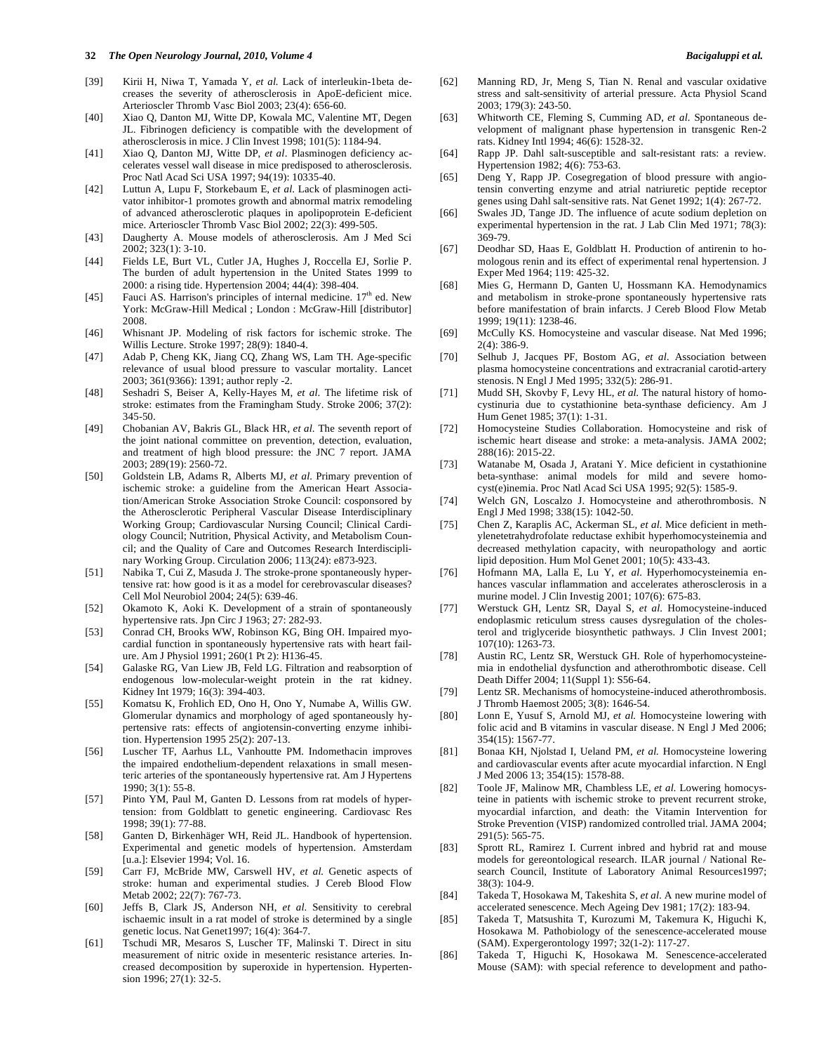#### **32** *The Open Neurology Journal, 2010, Volume 4 Bacigaluppi et al.*

- [39] Kirii H, Niwa T, Yamada Y, *et al.* Lack of interleukin-1beta decreases the severity of atherosclerosis in ApoE-deficient mice. Arterioscler Thromb Vasc Biol 2003; 23(4): 656-60.
- [40] Xiao Q, Danton MJ, Witte DP, Kowala MC, Valentine MT, Degen JL. Fibrinogen deficiency is compatible with the development of atherosclerosis in mice. J Clin Invest 1998; 101(5): 1184-94.
- [41] Xiao Q, Danton MJ, Witte DP, *et al*. Plasminogen deficiency accelerates vessel wall disease in mice predisposed to atherosclerosis. Proc Natl Acad Sci USA 1997; 94(19): 10335-40.
- [42] Luttun A, Lupu F, Storkebaum E, *et al*. Lack of plasminogen activator inhibitor-1 promotes growth and abnormal matrix remodeling of advanced atherosclerotic plaques in apolipoprotein E-deficient mice. Arterioscler Thromb Vasc Biol 2002; 22(3): 499-505.
- [43] Daugherty A. Mouse models of atherosclerosis. Am J Med Sci 2002; 323(1): 3-10.
- [44] Fields LE, Burt VL, Cutler JA, Hughes J, Roccella EJ, Sorlie P. The burden of adult hypertension in the United States 1999 to 2000: a rising tide. Hypertension 2004; 44(4): 398-404.
- [45] Fauci AS. Harrison's principles of internal medicine.  $17<sup>th</sup>$  ed. New York: McGraw-Hill Medical ; London : McGraw-Hill [distributor] 2008.
- [46] Whisnant JP. Modeling of risk factors for ischemic stroke. The Willis Lecture. Stroke 1997; 28(9): 1840-4.
- [47] Adab P, Cheng KK, Jiang CQ, Zhang WS, Lam TH. Age-specific relevance of usual blood pressure to vascular mortality. Lancet 2003; 361(9366): 1391; author reply -2.
- [48] Seshadri S, Beiser A, Kelly-Hayes M, *et al*. The lifetime risk of stroke: estimates from the Framingham Study. Stroke 2006; 37(2): 345-50.
- [49] Chobanian AV, Bakris GL, Black HR, *et al*. The seventh report of the joint national committee on prevention, detection, evaluation, and treatment of high blood pressure: the JNC 7 report. JAMA 2003; 289(19): 2560-72.
- [50] Goldstein LB, Adams R, Alberts MJ, *et al*. Primary prevention of ischemic stroke: a guideline from the American Heart Association/American Stroke Association Stroke Council: cosponsored by the Atherosclerotic Peripheral Vascular Disease Interdisciplinary Working Group; Cardiovascular Nursing Council; Clinical Cardiology Council; Nutrition, Physical Activity, and Metabolism Council; and the Quality of Care and Outcomes Research Interdisciplinary Working Group. Circulation 2006; 113(24): e873-923.
- [51] Nabika T, Cui Z, Masuda J. The stroke-prone spontaneously hypertensive rat: how good is it as a model for cerebrovascular diseases? Cell Mol Neurobiol 2004; 24(5): 639-46.
- [52] Okamoto K, Aoki K. Development of a strain of spontaneously hypertensive rats. Jpn Circ J 1963; 27: 282-93.
- [53] Conrad CH, Brooks WW, Robinson KG, Bing OH. Impaired myocardial function in spontaneously hypertensive rats with heart failure. Am J Physiol 1991; 260(1 Pt 2): H136-45.
- [54] Galaske RG, Van Liew JB, Feld LG. Filtration and reabsorption of endogenous low-molecular-weight protein in the rat kidney. Kidney Int 1979; 16(3): 394-403.
- [55] Komatsu K, Frohlich ED, Ono H, Ono Y, Numabe A, Willis GW. Glomerular dynamics and morphology of aged spontaneously hypertensive rats: effects of angiotensin-converting enzyme inhibition. Hypertension 1995 25(2): 207-13.
- [56] Luscher TF, Aarhus LL, Vanhoutte PM. Indomethacin improves the impaired endothelium-dependent relaxations in small mesenteric arteries of the spontaneously hypertensive rat. Am J Hypertens 1990; 3(1): 55-8.
- [57] Pinto YM, Paul M, Ganten D. Lessons from rat models of hypertension: from Goldblatt to genetic engineering. Cardiovasc Res 1998; 39(1): 77-88.
- [58] Ganten D, Birkenhäger WH, Reid JL. Handbook of hypertension. Experimental and genetic models of hypertension. Amsterdam [u.a.]: Elsevier 1994; Vol. 16.
- [59] Carr FJ, McBride MW, Carswell HV, *et al.* Genetic aspects of stroke: human and experimental studies. J Cereb Blood Flow Metab 2002; 22(7): 767-73.
- [60] Jeffs B, Clark JS, Anderson NH, *et al*. Sensitivity to cerebral ischaemic insult in a rat model of stroke is determined by a single genetic locus. Nat Genet1997; 16(4): 364-7.
- [61] Tschudi MR, Mesaros S, Luscher TF, Malinski T. Direct in situ measurement of nitric oxide in mesenteric resistance arteries. Increased decomposition by superoxide in hypertension. Hypertension 1996; 27(1): 32-5.
- [62] Manning RD, Jr, Meng S, Tian N. Renal and vascular oxidative stress and salt-sensitivity of arterial pressure. Acta Physiol Scand 2003; 179(3): 243-50.
- [63] Whitworth CE, Fleming S, Cumming AD, *et al*. Spontaneous development of malignant phase hypertension in transgenic Ren-2 rats. Kidney Intl 1994; 46(6): 1528-32.
- [64] Rapp JP. Dahl salt-susceptible and salt-resistant rats: a review. Hypertension 1982; 4(6): 753-63.
- [65] Deng Y, Rapp JP. Cosegregation of blood pressure with angiotensin converting enzyme and atrial natriuretic peptide receptor genes using Dahl salt-sensitive rats. Nat Genet 1992; 1(4): 267-72.
- [66] Swales JD, Tange JD. The influence of acute sodium depletion on experimental hypertension in the rat. J Lab Clin Med 1971; 78(3): 369-79.
- [67] Deodhar SD, Haas E, Goldblatt H. Production of antirenin to homologous renin and its effect of experimental renal hypertension. J Exper Med 1964; 119: 425-32.
- [68] Mies G, Hermann D, Ganten U, Hossmann KA. Hemodynamics and metabolism in stroke-prone spontaneously hypertensive rats before manifestation of brain infarcts. J Cereb Blood Flow Metab 1999; 19(11): 1238-46.
- [69] McCully KS. Homocysteine and vascular disease. Nat Med 1996; 2(4): 386-9.
- [70] Selhub J, Jacques PF, Bostom AG, *et al.* Association between plasma homocysteine concentrations and extracranial carotid-artery stenosis. N Engl J Med 1995; 332(5): 286-91.
- [71] Mudd SH, Skovby F, Levy HL, *et al.* The natural history of homocystinuria due to cystathionine beta-synthase deficiency. Am J Hum Genet 1985; 37(1): 1-31.
- [72] Homocysteine Studies Collaboration. Homocysteine and risk of ischemic heart disease and stroke: a meta-analysis. JAMA 2002; 288(16): 2015-22.
- [73] Watanabe M, Osada J, Aratani Y. Mice deficient in cystathionine beta-synthase: animal models for mild and severe homocyst(e)inemia. Proc Natl Acad Sci USA 1995; 92(5): 1585-9.
- [74] Welch GN, Loscalzo J. Homocysteine and atherothrombosis. N Engl J Med 1998; 338(15): 1042-50.
- [75] Chen Z, Karaplis AC, Ackerman SL, *et al.* Mice deficient in methylenetetrahydrofolate reductase exhibit hyperhomocysteinemia and decreased methylation capacity, with neuropathology and aortic lipid deposition. Hum Mol Genet 2001; 10(5): 433-43.
- [76] Hofmann MA, Lalla E, Lu Y, *et al*. Hyperhomocysteinemia enhances vascular inflammation and accelerates atherosclerosis in a murine model. J Clin Investig 2001; 107(6): 675-83.
- [77] Werstuck GH, Lentz SR, Dayal S, *et al*. Homocysteine-induced endoplasmic reticulum stress causes dysregulation of the cholesterol and triglyceride biosynthetic pathways. J Clin Invest 2001; 107(10): 1263-73.
- [78] Austin RC, Lentz SR, Werstuck GH. Role of hyperhomocysteinemia in endothelial dysfunction and atherothrombotic disease. Cell Death Differ 2004; 11(Suppl 1): S56-64.
- [79] Lentz SR. Mechanisms of homocysteine-induced atherothrombosis. J Thromb Haemost 2005; 3(8): 1646-54.
- [80] Lonn E, Yusuf S, Arnold MJ, *et al.* Homocysteine lowering with folic acid and B vitamins in vascular disease. N Engl J Med 2006; 354(15): 1567-77.
- [81] Bonaa KH, Njolstad I, Ueland PM, *et al.* Homocysteine lowering and cardiovascular events after acute myocardial infarction. N Engl J Med 2006 13; 354(15): 1578-88.
- [82] Toole JF, Malinow MR, Chambless LE, *et al.* Lowering homocysteine in patients with ischemic stroke to prevent recurrent stroke, myocardial infarction, and death: the Vitamin Intervention for Stroke Prevention (VISP) randomized controlled trial. JAMA 2004; 291(5): 565-75.
- [83] Sprott RL, Ramirez I. Current inbred and hybrid rat and mouse models for gereontological research. ILAR journal / National Research Council, Institute of Laboratory Animal Resources1997; 38(3): 104-9.
- [84] Takeda T, Hosokawa M, Takeshita S, *et al.* A new murine model of accelerated senescence. Mech Ageing Dev 1981; 17(2): 183-94.
- [85] Takeda T, Matsushita T, Kurozumi M, Takemura K, Higuchi K, Hosokawa M. Pathobiology of the senescence-accelerated mouse (SAM). Expergerontology 1997; 32(1-2): 117-27.
- [86] Takeda T, Higuchi K, Hosokawa M. Senescence-accelerated Mouse (SAM): with special reference to development and patho-